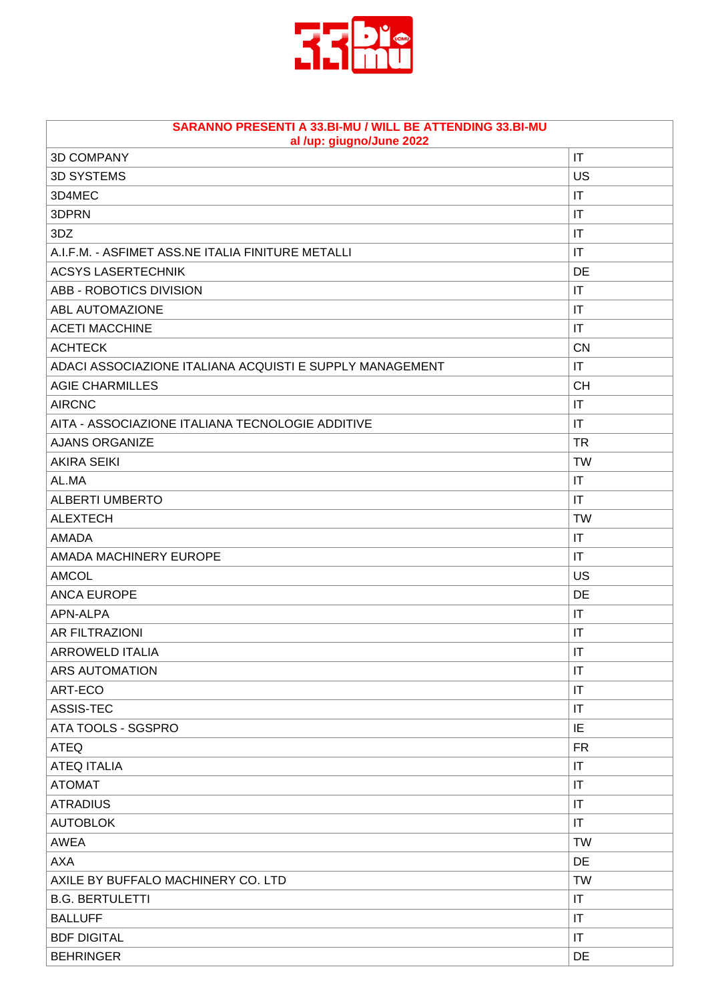

| SARANNO PRESENTI A 33.BI-MU / WILL BE ATTENDING 33.BI-MU<br>al /up: giugno/June 2022 |                        |
|--------------------------------------------------------------------------------------|------------------------|
| <b>3D COMPANY</b>                                                                    | IT                     |
| <b>3D SYSTEMS</b>                                                                    | <b>US</b>              |
| 3D4MEC                                                                               | IT                     |
| 3DPRN                                                                                | $\mathsf{I}\mathsf{T}$ |
| 3DZ                                                                                  | IT                     |
| A.I.F.M. - ASFIMET ASS.NE ITALIA FINITURE METALLI                                    | IT                     |
| <b>ACSYS LASERTECHNIK</b>                                                            | DE                     |
| ABB - ROBOTICS DIVISION                                                              | IT                     |
| ABL AUTOMAZIONE                                                                      | IT                     |
| <b>ACETI MACCHINE</b>                                                                | IT                     |
| <b>ACHTECK</b>                                                                       | <b>CN</b>              |
| ADACI ASSOCIAZIONE ITALIANA ACQUISTI E SUPPLY MANAGEMENT                             | IT                     |
| <b>AGIE CHARMILLES</b>                                                               | <b>CH</b>              |
| <b>AIRCNC</b>                                                                        | IT                     |
| AITA - ASSOCIAZIONE ITALIANA TECNOLOGIE ADDITIVE                                     | IT                     |
| <b>AJANS ORGANIZE</b>                                                                | <b>TR</b>              |
| <b>AKIRA SEIKI</b>                                                                   | <b>TW</b>              |
| AL.MA                                                                                | IT                     |
| <b>ALBERTI UMBERTO</b>                                                               | $\mathsf{I}\mathsf{T}$ |
| <b>ALEXTECH</b>                                                                      | <b>TW</b>              |
| <b>AMADA</b>                                                                         | IT                     |
| AMADA MACHINERY EUROPE                                                               | IT                     |
| <b>AMCOL</b>                                                                         | US                     |
| <b>ANCA EUROPE</b>                                                                   | DE                     |
| APN-ALPA                                                                             | IT                     |
| <b>AR FILTRAZIONI</b>                                                                | IT                     |
| ARROWELD ITALIA                                                                      | IT                     |
| <b>ARS AUTOMATION</b>                                                                | IT                     |
| ART-ECO                                                                              | IT                     |
| ASSIS-TEC                                                                            | IT                     |
| ATA TOOLS - SGSPRO                                                                   | IE                     |
| <b>ATEQ</b>                                                                          | <b>FR</b>              |
| <b>ATEQ ITALIA</b>                                                                   | IT                     |
| <b>ATOMAT</b>                                                                        | IT                     |
| <b>ATRADIUS</b>                                                                      | IT                     |
| <b>AUTOBLOK</b>                                                                      | IT                     |
| <b>AWEA</b>                                                                          | <b>TW</b>              |
| <b>AXA</b>                                                                           | <b>DE</b>              |
| AXILE BY BUFFALO MACHINERY CO. LTD                                                   | <b>TW</b>              |
| <b>B.G. BERTULETTI</b>                                                               | IT                     |
| <b>BALLUFF</b>                                                                       | IT                     |
| <b>BDF DIGITAL</b>                                                                   | IT                     |
| <b>BEHRINGER</b>                                                                     | DE                     |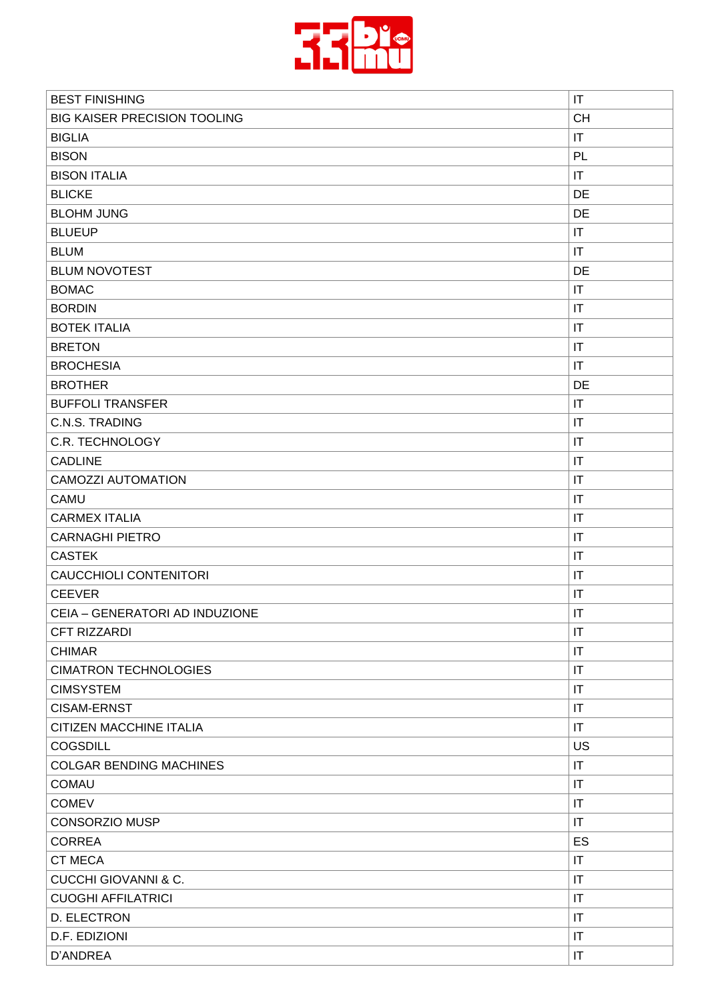

| <b>BEST FINISHING</b>               | $\mathsf{I}\mathsf{T}$ |
|-------------------------------------|------------------------|
| <b>BIG KAISER PRECISION TOOLING</b> | <b>CH</b>              |
| <b>BIGLIA</b>                       | $\mathsf{I}\mathsf{T}$ |
| <b>BISON</b>                        | PL                     |
| <b>BISON ITALIA</b>                 | $\mathsf{I}\mathsf{T}$ |
| <b>BLICKE</b>                       | DE                     |
| <b>BLOHM JUNG</b>                   | DE                     |
| <b>BLUEUP</b>                       | $\mathsf{I}\mathsf{T}$ |
| <b>BLUM</b>                         | $\mathsf{I}\mathsf{T}$ |
| <b>BLUM NOVOTEST</b>                | DE                     |
| <b>BOMAC</b>                        | $\mathsf{I}\mathsf{T}$ |
| <b>BORDIN</b>                       | IT                     |
| <b>BOTEK ITALIA</b>                 | $\mathsf{I}\mathsf{T}$ |
| <b>BRETON</b>                       | $\mathsf{I}\mathsf{T}$ |
| <b>BROCHESIA</b>                    | $\mathsf{I}\mathsf{T}$ |
| <b>BROTHER</b>                      | DE                     |
| <b>BUFFOLI TRANSFER</b>             | $\mathsf{I}\mathsf{T}$ |
| C.N.S. TRADING                      | IT                     |
| <b>C.R. TECHNOLOGY</b>              | $\mathsf{I}\mathsf{T}$ |
| <b>CADLINE</b>                      | $\mathsf{I}\mathsf{T}$ |
| <b>CAMOZZI AUTOMATION</b>           | IT                     |
| <b>CAMU</b>                         | IT                     |
| <b>CARMEX ITALIA</b>                | $\mathsf{I}\mathsf{T}$ |
| <b>CARNAGHI PIETRO</b>              | IT                     |
| <b>CASTEK</b>                       | $\mathsf{I}\mathsf{T}$ |
| <b>CAUCCHIOLI CONTENITORI</b>       | $\mathsf{I}\mathsf{T}$ |
| <b>CEEVER</b>                       | IT                     |
| CEIA - GENERATORI AD INDUZIONE      | $\mathsf{I}\mathsf{T}$ |
| CFT RIZZARDI                        | $\mathsf{I}\mathsf{T}$ |
| <b>CHIMAR</b>                       | $\mathsf{I}\mathsf{T}$ |
| <b>CIMATRON TECHNOLOGIES</b>        | $\mathsf{I}\mathsf{T}$ |
| <b>CIMSYSTEM</b>                    | $\mathsf{I}\mathsf{T}$ |
| <b>CISAM-ERNST</b>                  | $\mathsf{I}\mathsf{T}$ |
| CITIZEN MACCHINE ITALIA             | IT                     |
| <b>COGSDILL</b>                     | US                     |
| <b>COLGAR BENDING MACHINES</b>      | $\mathsf{I}\mathsf{T}$ |
| <b>COMAU</b>                        | $\mathsf{I}\mathsf{T}$ |
| <b>COMEV</b>                        | $\mathsf{I}\mathsf{T}$ |
| <b>CONSORZIO MUSP</b>               | $\mathsf{I}\mathsf{T}$ |
| <b>CORREA</b>                       | ES                     |
| <b>CT MECA</b>                      | $\mathsf{I}\mathsf{T}$ |
| <b>CUCCHI GIOVANNI &amp; C.</b>     | $\mathsf{I}\mathsf{T}$ |
| <b>CUOGHI AFFILATRICI</b>           | $\mathsf{I}\mathsf{T}$ |
| D. ELECTRON                         | $\mathsf{I}\mathsf{T}$ |
| D.F. EDIZIONI                       | $\mathsf{I}\mathsf{T}$ |
| D'ANDREA                            | $\mathsf{I}\mathsf{T}$ |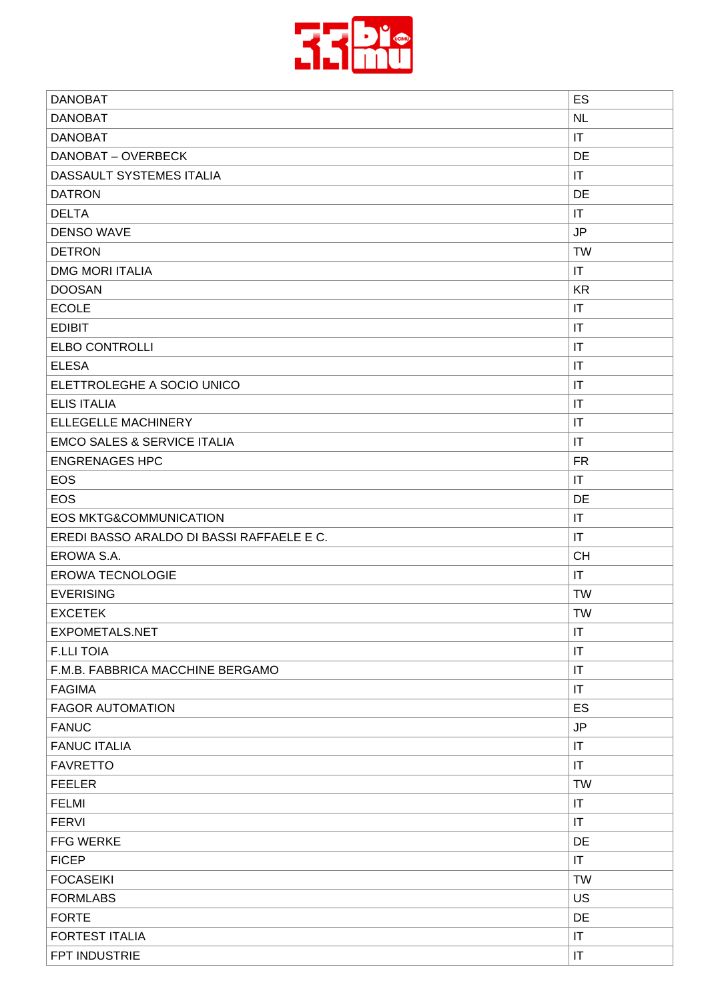

| <b>DANOBAT</b>                            | ES                     |
|-------------------------------------------|------------------------|
| <b>DANOBAT</b>                            | <b>NL</b>              |
| <b>DANOBAT</b>                            | IT                     |
| DANOBAT - OVERBECK                        | DE                     |
| DASSAULT SYSTEMES ITALIA                  | $\mathsf{I}\mathsf{T}$ |
| <b>DATRON</b>                             | DE                     |
| <b>DELTA</b>                              | $\mathsf{I}\mathsf{T}$ |
| <b>DENSO WAVE</b>                         | <b>JP</b>              |
| <b>DETRON</b>                             | <b>TW</b>              |
| <b>DMG MORI ITALIA</b>                    | IT                     |
| <b>DOOSAN</b>                             | <b>KR</b>              |
| <b>ECOLE</b>                              | IT                     |
| <b>EDIBIT</b>                             | $\mathsf{I}\mathsf{T}$ |
| <b>ELBO CONTROLLI</b>                     | $\mathsf{I}\mathsf{T}$ |
| <b>ELESA</b>                              | IT                     |
| ELETTROLEGHE A SOCIO UNICO                | $\mathsf{I}\mathsf{T}$ |
| <b>ELIS ITALIA</b>                        | $\mathsf{I}\mathsf{T}$ |
| <b>ELLEGELLE MACHINERY</b>                | IT                     |
| <b>EMCO SALES &amp; SERVICE ITALIA</b>    | $\mathsf{I}\mathsf{T}$ |
| <b>ENGRENAGES HPC</b>                     | <b>FR</b>              |
| <b>EOS</b>                                | IT                     |
| <b>EOS</b>                                | DE                     |
| <b>EOS MKTG&amp;COMMUNICATION</b>         | IT                     |
| EREDI BASSO ARALDO DI BASSI RAFFAELE E C. | IT                     |
| EROWA S.A.                                | <b>CH</b>              |
| <b>EROWA TECNOLOGIE</b>                   | $\mathsf{I}\mathsf{T}$ |
| <b>EVERISING</b>                          | <b>TW</b>              |
| <b>EXCETEK</b>                            | <b>TW</b>              |
| EXPOMETALS.NET                            | $\mathsf{I}\mathsf{T}$ |
| <b>F.LLI TOIA</b>                         | $\mathsf{I}\mathsf{T}$ |
| F.M.B. FABBRICA MACCHINE BERGAMO          | IT                     |
| <b>FAGIMA</b>                             | $\mathsf{I}\mathsf{T}$ |
| <b>FAGOR AUTOMATION</b>                   | ES                     |
| <b>FANUC</b>                              | $\mathsf{JP}$          |
| <b>FANUC ITALIA</b>                       | $\mathsf{I}\mathsf{T}$ |
| <b>FAVRETTO</b>                           | $\mathsf{I}\mathsf{T}$ |
| <b>FEELER</b>                             | <b>TW</b>              |
| <b>FELMI</b>                              | $\mathsf{I}\mathsf{T}$ |
| <b>FERVI</b>                              | $\mathsf{I}\mathsf{T}$ |
| FFG WERKE                                 | DE                     |
| <b>FICEP</b>                              | IT                     |
| <b>FOCASEIKI</b>                          | <b>TW</b>              |
| <b>FORMLABS</b>                           | US                     |
| <b>FORTE</b>                              | DE                     |
| <b>FORTEST ITALIA</b>                     | $\mathsf{I}\mathsf{T}$ |
| FPT INDUSTRIE                             | $\mathsf{I}\mathsf{T}$ |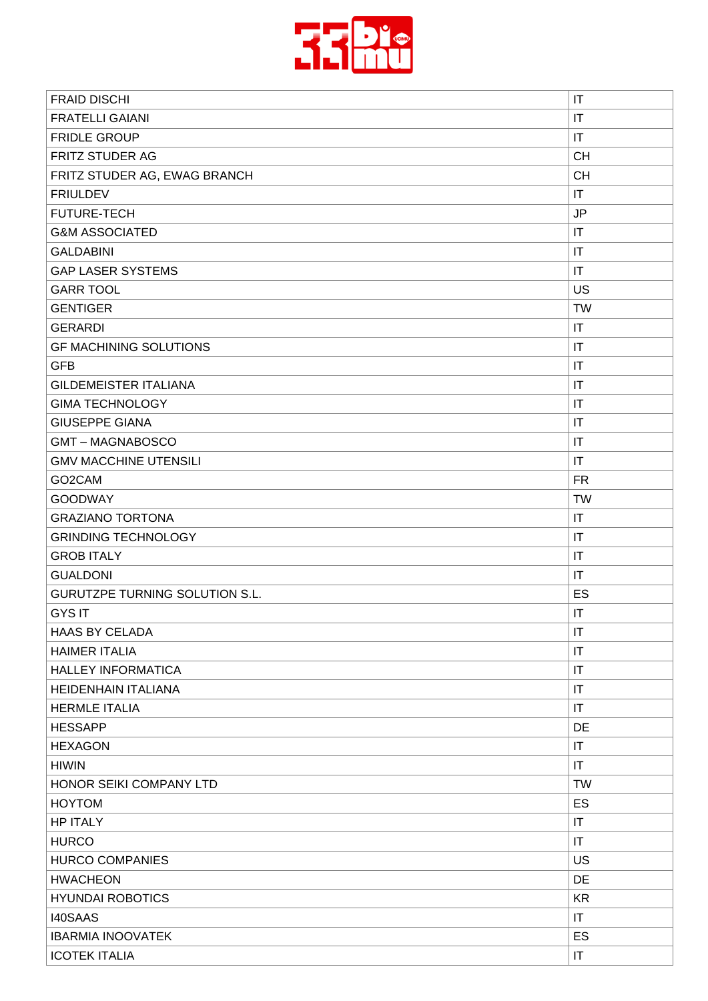

| $\mathsf{I}\mathsf{T}$<br><b>FRATELLI GAIANI</b><br><b>FRIDLE GROUP</b><br>$\mathsf{I}\mathsf{T}$<br><b>FRITZ STUDER AG</b><br><b>CH</b><br><b>CH</b><br>FRITZ STUDER AG, EWAG BRANCH<br>$\mathsf{I}\mathsf{T}$<br><b>FRIULDEV</b><br><b>FUTURE-TECH</b><br>JP<br>$\mathsf{I}\mathsf{T}$<br><b>G&amp;M ASSOCIATED</b><br><b>GALDABINI</b><br>$\mathsf{I}\mathsf{T}$<br><b>GAP LASER SYSTEMS</b><br>IT<br>US<br><b>GARR TOOL</b><br><b>GENTIGER</b><br><b>TW</b><br>IT<br><b>GERARDI</b><br>$\mathsf{I}\mathsf{T}$<br><b>GF MACHINING SOLUTIONS</b><br><b>GFB</b><br>$\mathsf{I}\mathsf{T}$<br><b>GILDEMEISTER ITALIANA</b><br>$\mathsf{I}\mathsf{T}$<br>$\mathsf{I}\mathsf{T}$<br><b>GIMA TECHNOLOGY</b><br><b>GIUSEPPE GIANA</b><br>$\mathsf{I}\mathsf{T}$<br><b>GMT-MAGNABOSCO</b><br>IT<br>$\mathsf{I}\mathsf{T}$<br><b>GMV MACCHINE UTENSILI</b><br>GO2CAM<br><b>FR</b><br><b>TW</b><br><b>GOODWAY</b><br>$\mathsf{I}\mathsf{T}$<br><b>GRAZIANO TORTONA</b><br><b>GRINDING TECHNOLOGY</b><br>$\mathsf{I}\mathsf{T}$<br><b>GROB ITALY</b><br>IT<br><b>GUALDONI</b><br>$\mathsf{I}\mathsf{T}$<br><b>GURUTZPE TURNING SOLUTION S.L.</b><br>ES<br><b>GYS IT</b><br>IT<br><b>HAAS BY CELADA</b><br>IT<br><b>HAIMER ITALIA</b><br>IT<br><b>HALLEY INFORMATICA</b><br>$\mathsf{I}\mathsf{T}$<br><b>HEIDENHAIN ITALIANA</b><br>$\mathsf{I}\mathsf{T}$<br><b>HERMLE ITALIA</b><br>$\mathsf{I}\mathsf{T}$<br><b>HESSAPP</b><br>DE<br>$\mathsf{I}\mathsf{T}$<br><b>HEXAGON</b><br><b>HIWIN</b><br>$\mathsf{I}\mathsf{T}$<br>HONOR SEIKI COMPANY LTD<br><b>TW</b><br><b>HOYTOM</b><br>ES<br><b>HP ITALY</b><br>$\mathsf{I}\mathsf{T}$<br><b>HURCO</b><br>IT<br><b>HURCO COMPANIES</b><br>US<br><b>HWACHEON</b><br><b>DE</b><br><b>HYUNDAI ROBOTICS</b><br><b>KR</b><br><b>I40SAAS</b><br>$\mathsf{I}\mathsf{T}$<br><b>ES</b><br><b>IBARMIA INOOVATEK</b><br><b>ICOTEK ITALIA</b><br>IT | <b>FRAID DISCHI</b> | IT |
|--------------------------------------------------------------------------------------------------------------------------------------------------------------------------------------------------------------------------------------------------------------------------------------------------------------------------------------------------------------------------------------------------------------------------------------------------------------------------------------------------------------------------------------------------------------------------------------------------------------------------------------------------------------------------------------------------------------------------------------------------------------------------------------------------------------------------------------------------------------------------------------------------------------------------------------------------------------------------------------------------------------------------------------------------------------------------------------------------------------------------------------------------------------------------------------------------------------------------------------------------------------------------------------------------------------------------------------------------------------------------------------------------------------------------------------------------------------------------------------------------------------------------------------------------------------------------------------------------------------------------------------------------------------------------------------------------------------------------------------------------------------------------------------------------------------------------------------------------------------------------------|---------------------|----|
|                                                                                                                                                                                                                                                                                                                                                                                                                                                                                                                                                                                                                                                                                                                                                                                                                                                                                                                                                                                                                                                                                                                                                                                                                                                                                                                                                                                                                                                                                                                                                                                                                                                                                                                                                                                                                                                                                |                     |    |
|                                                                                                                                                                                                                                                                                                                                                                                                                                                                                                                                                                                                                                                                                                                                                                                                                                                                                                                                                                                                                                                                                                                                                                                                                                                                                                                                                                                                                                                                                                                                                                                                                                                                                                                                                                                                                                                                                |                     |    |
|                                                                                                                                                                                                                                                                                                                                                                                                                                                                                                                                                                                                                                                                                                                                                                                                                                                                                                                                                                                                                                                                                                                                                                                                                                                                                                                                                                                                                                                                                                                                                                                                                                                                                                                                                                                                                                                                                |                     |    |
|                                                                                                                                                                                                                                                                                                                                                                                                                                                                                                                                                                                                                                                                                                                                                                                                                                                                                                                                                                                                                                                                                                                                                                                                                                                                                                                                                                                                                                                                                                                                                                                                                                                                                                                                                                                                                                                                                |                     |    |
|                                                                                                                                                                                                                                                                                                                                                                                                                                                                                                                                                                                                                                                                                                                                                                                                                                                                                                                                                                                                                                                                                                                                                                                                                                                                                                                                                                                                                                                                                                                                                                                                                                                                                                                                                                                                                                                                                |                     |    |
|                                                                                                                                                                                                                                                                                                                                                                                                                                                                                                                                                                                                                                                                                                                                                                                                                                                                                                                                                                                                                                                                                                                                                                                                                                                                                                                                                                                                                                                                                                                                                                                                                                                                                                                                                                                                                                                                                |                     |    |
|                                                                                                                                                                                                                                                                                                                                                                                                                                                                                                                                                                                                                                                                                                                                                                                                                                                                                                                                                                                                                                                                                                                                                                                                                                                                                                                                                                                                                                                                                                                                                                                                                                                                                                                                                                                                                                                                                |                     |    |
|                                                                                                                                                                                                                                                                                                                                                                                                                                                                                                                                                                                                                                                                                                                                                                                                                                                                                                                                                                                                                                                                                                                                                                                                                                                                                                                                                                                                                                                                                                                                                                                                                                                                                                                                                                                                                                                                                |                     |    |
|                                                                                                                                                                                                                                                                                                                                                                                                                                                                                                                                                                                                                                                                                                                                                                                                                                                                                                                                                                                                                                                                                                                                                                                                                                                                                                                                                                                                                                                                                                                                                                                                                                                                                                                                                                                                                                                                                |                     |    |
|                                                                                                                                                                                                                                                                                                                                                                                                                                                                                                                                                                                                                                                                                                                                                                                                                                                                                                                                                                                                                                                                                                                                                                                                                                                                                                                                                                                                                                                                                                                                                                                                                                                                                                                                                                                                                                                                                |                     |    |
|                                                                                                                                                                                                                                                                                                                                                                                                                                                                                                                                                                                                                                                                                                                                                                                                                                                                                                                                                                                                                                                                                                                                                                                                                                                                                                                                                                                                                                                                                                                                                                                                                                                                                                                                                                                                                                                                                |                     |    |
|                                                                                                                                                                                                                                                                                                                                                                                                                                                                                                                                                                                                                                                                                                                                                                                                                                                                                                                                                                                                                                                                                                                                                                                                                                                                                                                                                                                                                                                                                                                                                                                                                                                                                                                                                                                                                                                                                |                     |    |
|                                                                                                                                                                                                                                                                                                                                                                                                                                                                                                                                                                                                                                                                                                                                                                                                                                                                                                                                                                                                                                                                                                                                                                                                                                                                                                                                                                                                                                                                                                                                                                                                                                                                                                                                                                                                                                                                                |                     |    |
|                                                                                                                                                                                                                                                                                                                                                                                                                                                                                                                                                                                                                                                                                                                                                                                                                                                                                                                                                                                                                                                                                                                                                                                                                                                                                                                                                                                                                                                                                                                                                                                                                                                                                                                                                                                                                                                                                |                     |    |
|                                                                                                                                                                                                                                                                                                                                                                                                                                                                                                                                                                                                                                                                                                                                                                                                                                                                                                                                                                                                                                                                                                                                                                                                                                                                                                                                                                                                                                                                                                                                                                                                                                                                                                                                                                                                                                                                                |                     |    |
|                                                                                                                                                                                                                                                                                                                                                                                                                                                                                                                                                                                                                                                                                                                                                                                                                                                                                                                                                                                                                                                                                                                                                                                                                                                                                                                                                                                                                                                                                                                                                                                                                                                                                                                                                                                                                                                                                |                     |    |
|                                                                                                                                                                                                                                                                                                                                                                                                                                                                                                                                                                                                                                                                                                                                                                                                                                                                                                                                                                                                                                                                                                                                                                                                                                                                                                                                                                                                                                                                                                                                                                                                                                                                                                                                                                                                                                                                                |                     |    |
|                                                                                                                                                                                                                                                                                                                                                                                                                                                                                                                                                                                                                                                                                                                                                                                                                                                                                                                                                                                                                                                                                                                                                                                                                                                                                                                                                                                                                                                                                                                                                                                                                                                                                                                                                                                                                                                                                |                     |    |
|                                                                                                                                                                                                                                                                                                                                                                                                                                                                                                                                                                                                                                                                                                                                                                                                                                                                                                                                                                                                                                                                                                                                                                                                                                                                                                                                                                                                                                                                                                                                                                                                                                                                                                                                                                                                                                                                                |                     |    |
|                                                                                                                                                                                                                                                                                                                                                                                                                                                                                                                                                                                                                                                                                                                                                                                                                                                                                                                                                                                                                                                                                                                                                                                                                                                                                                                                                                                                                                                                                                                                                                                                                                                                                                                                                                                                                                                                                |                     |    |
|                                                                                                                                                                                                                                                                                                                                                                                                                                                                                                                                                                                                                                                                                                                                                                                                                                                                                                                                                                                                                                                                                                                                                                                                                                                                                                                                                                                                                                                                                                                                                                                                                                                                                                                                                                                                                                                                                |                     |    |
|                                                                                                                                                                                                                                                                                                                                                                                                                                                                                                                                                                                                                                                                                                                                                                                                                                                                                                                                                                                                                                                                                                                                                                                                                                                                                                                                                                                                                                                                                                                                                                                                                                                                                                                                                                                                                                                                                |                     |    |
|                                                                                                                                                                                                                                                                                                                                                                                                                                                                                                                                                                                                                                                                                                                                                                                                                                                                                                                                                                                                                                                                                                                                                                                                                                                                                                                                                                                                                                                                                                                                                                                                                                                                                                                                                                                                                                                                                |                     |    |
|                                                                                                                                                                                                                                                                                                                                                                                                                                                                                                                                                                                                                                                                                                                                                                                                                                                                                                                                                                                                                                                                                                                                                                                                                                                                                                                                                                                                                                                                                                                                                                                                                                                                                                                                                                                                                                                                                |                     |    |
|                                                                                                                                                                                                                                                                                                                                                                                                                                                                                                                                                                                                                                                                                                                                                                                                                                                                                                                                                                                                                                                                                                                                                                                                                                                                                                                                                                                                                                                                                                                                                                                                                                                                                                                                                                                                                                                                                |                     |    |
|                                                                                                                                                                                                                                                                                                                                                                                                                                                                                                                                                                                                                                                                                                                                                                                                                                                                                                                                                                                                                                                                                                                                                                                                                                                                                                                                                                                                                                                                                                                                                                                                                                                                                                                                                                                                                                                                                |                     |    |
|                                                                                                                                                                                                                                                                                                                                                                                                                                                                                                                                                                                                                                                                                                                                                                                                                                                                                                                                                                                                                                                                                                                                                                                                                                                                                                                                                                                                                                                                                                                                                                                                                                                                                                                                                                                                                                                                                |                     |    |
|                                                                                                                                                                                                                                                                                                                                                                                                                                                                                                                                                                                                                                                                                                                                                                                                                                                                                                                                                                                                                                                                                                                                                                                                                                                                                                                                                                                                                                                                                                                                                                                                                                                                                                                                                                                                                                                                                |                     |    |
|                                                                                                                                                                                                                                                                                                                                                                                                                                                                                                                                                                                                                                                                                                                                                                                                                                                                                                                                                                                                                                                                                                                                                                                                                                                                                                                                                                                                                                                                                                                                                                                                                                                                                                                                                                                                                                                                                |                     |    |
|                                                                                                                                                                                                                                                                                                                                                                                                                                                                                                                                                                                                                                                                                                                                                                                                                                                                                                                                                                                                                                                                                                                                                                                                                                                                                                                                                                                                                                                                                                                                                                                                                                                                                                                                                                                                                                                                                |                     |    |
|                                                                                                                                                                                                                                                                                                                                                                                                                                                                                                                                                                                                                                                                                                                                                                                                                                                                                                                                                                                                                                                                                                                                                                                                                                                                                                                                                                                                                                                                                                                                                                                                                                                                                                                                                                                                                                                                                |                     |    |
|                                                                                                                                                                                                                                                                                                                                                                                                                                                                                                                                                                                                                                                                                                                                                                                                                                                                                                                                                                                                                                                                                                                                                                                                                                                                                                                                                                                                                                                                                                                                                                                                                                                                                                                                                                                                                                                                                |                     |    |
|                                                                                                                                                                                                                                                                                                                                                                                                                                                                                                                                                                                                                                                                                                                                                                                                                                                                                                                                                                                                                                                                                                                                                                                                                                                                                                                                                                                                                                                                                                                                                                                                                                                                                                                                                                                                                                                                                |                     |    |
|                                                                                                                                                                                                                                                                                                                                                                                                                                                                                                                                                                                                                                                                                                                                                                                                                                                                                                                                                                                                                                                                                                                                                                                                                                                                                                                                                                                                                                                                                                                                                                                                                                                                                                                                                                                                                                                                                |                     |    |
|                                                                                                                                                                                                                                                                                                                                                                                                                                                                                                                                                                                                                                                                                                                                                                                                                                                                                                                                                                                                                                                                                                                                                                                                                                                                                                                                                                                                                                                                                                                                                                                                                                                                                                                                                                                                                                                                                |                     |    |
|                                                                                                                                                                                                                                                                                                                                                                                                                                                                                                                                                                                                                                                                                                                                                                                                                                                                                                                                                                                                                                                                                                                                                                                                                                                                                                                                                                                                                                                                                                                                                                                                                                                                                                                                                                                                                                                                                |                     |    |
|                                                                                                                                                                                                                                                                                                                                                                                                                                                                                                                                                                                                                                                                                                                                                                                                                                                                                                                                                                                                                                                                                                                                                                                                                                                                                                                                                                                                                                                                                                                                                                                                                                                                                                                                                                                                                                                                                |                     |    |
|                                                                                                                                                                                                                                                                                                                                                                                                                                                                                                                                                                                                                                                                                                                                                                                                                                                                                                                                                                                                                                                                                                                                                                                                                                                                                                                                                                                                                                                                                                                                                                                                                                                                                                                                                                                                                                                                                |                     |    |
|                                                                                                                                                                                                                                                                                                                                                                                                                                                                                                                                                                                                                                                                                                                                                                                                                                                                                                                                                                                                                                                                                                                                                                                                                                                                                                                                                                                                                                                                                                                                                                                                                                                                                                                                                                                                                                                                                |                     |    |
|                                                                                                                                                                                                                                                                                                                                                                                                                                                                                                                                                                                                                                                                                                                                                                                                                                                                                                                                                                                                                                                                                                                                                                                                                                                                                                                                                                                                                                                                                                                                                                                                                                                                                                                                                                                                                                                                                |                     |    |
|                                                                                                                                                                                                                                                                                                                                                                                                                                                                                                                                                                                                                                                                                                                                                                                                                                                                                                                                                                                                                                                                                                                                                                                                                                                                                                                                                                                                                                                                                                                                                                                                                                                                                                                                                                                                                                                                                |                     |    |
|                                                                                                                                                                                                                                                                                                                                                                                                                                                                                                                                                                                                                                                                                                                                                                                                                                                                                                                                                                                                                                                                                                                                                                                                                                                                                                                                                                                                                                                                                                                                                                                                                                                                                                                                                                                                                                                                                |                     |    |
|                                                                                                                                                                                                                                                                                                                                                                                                                                                                                                                                                                                                                                                                                                                                                                                                                                                                                                                                                                                                                                                                                                                                                                                                                                                                                                                                                                                                                                                                                                                                                                                                                                                                                                                                                                                                                                                                                |                     |    |
|                                                                                                                                                                                                                                                                                                                                                                                                                                                                                                                                                                                                                                                                                                                                                                                                                                                                                                                                                                                                                                                                                                                                                                                                                                                                                                                                                                                                                                                                                                                                                                                                                                                                                                                                                                                                                                                                                |                     |    |
|                                                                                                                                                                                                                                                                                                                                                                                                                                                                                                                                                                                                                                                                                                                                                                                                                                                                                                                                                                                                                                                                                                                                                                                                                                                                                                                                                                                                                                                                                                                                                                                                                                                                                                                                                                                                                                                                                |                     |    |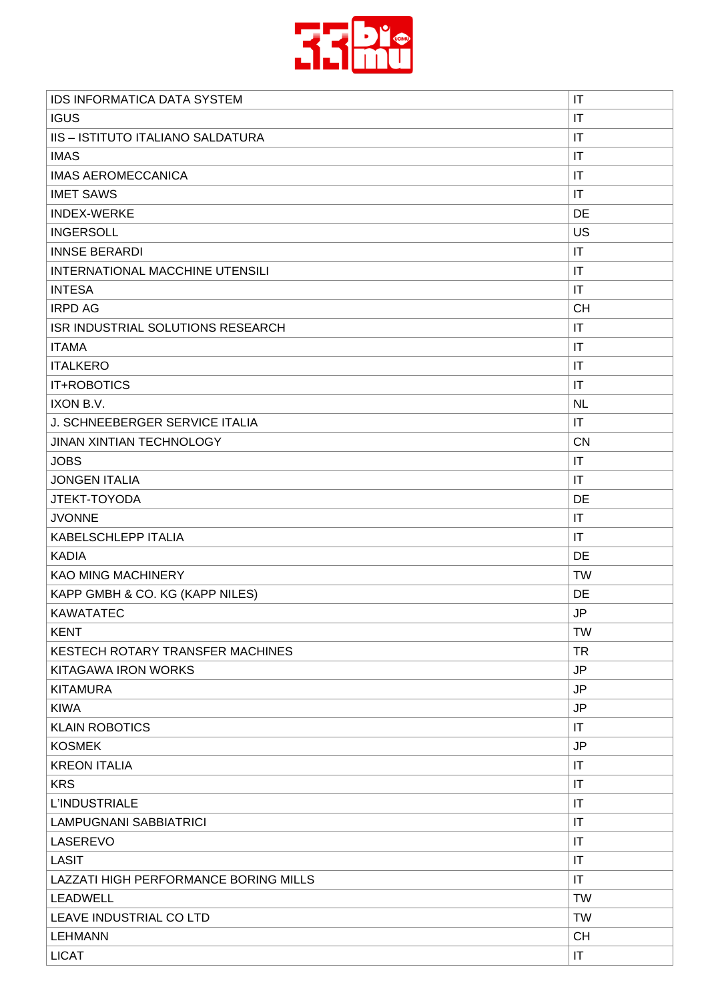

| <b>IGUS</b><br>$\mathsf{I}\mathsf{T}$<br><b>IIS - ISTITUTO ITALIANO SALDATURA</b><br>$\mathsf{I}\mathsf{T}$<br><b>IMAS</b><br>$\mathsf{I}\mathsf{T}$<br><b>IMAS AEROMECCANICA</b><br>$\mathsf{I}\mathsf{T}$<br><b>IMET SAWS</b><br>$\mathsf{I}\mathsf{T}$<br>DE<br><b>INDEX-WERKE</b><br>US<br><b>INGERSOLL</b><br><b>INNSE BERARDI</b><br>$\mathsf{I}\mathsf{T}$<br>INTERNATIONAL MACCHINE UTENSILI<br>IT<br><b>INTESA</b><br>$\mathsf{I}\mathsf{T}$<br><b>CH</b><br><b>IRPD AG</b><br>ISR INDUSTRIAL SOLUTIONS RESEARCH<br>IT<br><b>ITAMA</b><br>$\mathsf{I}\mathsf{T}$<br><b>ITALKERO</b><br>$\mathsf{I}\mathsf{T}$<br>IT+ROBOTICS<br>IT<br>IXON B.V.<br><b>NL</b><br>J. SCHNEEBERGER SERVICE ITALIA<br>$\mathsf{I}\mathsf{T}$<br><b>CN</b><br>JINAN XINTIAN TECHNOLOGY<br><b>JOBS</b><br>IT<br><b>JONGEN ITALIA</b><br>$\mathsf{I}\mathsf{T}$<br>DE<br>JTEKT-TOYODA<br><b>JVONNE</b><br>IT<br>KABELSCHLEPP ITALIA<br>$\mathsf{I}\mathsf{T}$<br><b>KADIA</b><br>DE<br><b>TW</b><br><b>KAO MING MACHINERY</b><br>KAPP GMBH & CO. KG (KAPP NILES)<br>DE<br><b>JP</b><br><b>KAWATATEC</b><br><b>KENT</b><br><b>TW</b><br><b>TR</b><br>KESTECH ROTARY TRANSFER MACHINES<br><b>JP</b><br>KITAGAWA IRON WORKS<br><b>JP</b><br><b>KITAMURA</b><br><b>KIWA</b><br><b>JP</b><br><b>KLAIN ROBOTICS</b><br>IT<br><b>KOSMEK</b><br><b>JP</b><br><b>KREON ITALIA</b><br>$\mathsf{I}\mathsf{T}$<br><b>KRS</b><br>IT<br>L'INDUSTRIALE<br>IT<br><b>LAMPUGNANI SABBIATRICI</b><br>$\mathsf{I}\mathsf{T}$ | <b>IDS INFORMATICA DATA SYSTEM</b> | $\mathsf{I}\mathsf{T}$ |
|--------------------------------------------------------------------------------------------------------------------------------------------------------------------------------------------------------------------------------------------------------------------------------------------------------------------------------------------------------------------------------------------------------------------------------------------------------------------------------------------------------------------------------------------------------------------------------------------------------------------------------------------------------------------------------------------------------------------------------------------------------------------------------------------------------------------------------------------------------------------------------------------------------------------------------------------------------------------------------------------------------------------------------------------------------------------------------------------------------------------------------------------------------------------------------------------------------------------------------------------------------------------------------------------------------------------------------------------------------------------------------------------------------------------------------------------------------------------------------------------|------------------------------------|------------------------|
|                                                                                                                                                                                                                                                                                                                                                                                                                                                                                                                                                                                                                                                                                                                                                                                                                                                                                                                                                                                                                                                                                                                                                                                                                                                                                                                                                                                                                                                                                            |                                    |                        |
|                                                                                                                                                                                                                                                                                                                                                                                                                                                                                                                                                                                                                                                                                                                                                                                                                                                                                                                                                                                                                                                                                                                                                                                                                                                                                                                                                                                                                                                                                            |                                    |                        |
|                                                                                                                                                                                                                                                                                                                                                                                                                                                                                                                                                                                                                                                                                                                                                                                                                                                                                                                                                                                                                                                                                                                                                                                                                                                                                                                                                                                                                                                                                            |                                    |                        |
|                                                                                                                                                                                                                                                                                                                                                                                                                                                                                                                                                                                                                                                                                                                                                                                                                                                                                                                                                                                                                                                                                                                                                                                                                                                                                                                                                                                                                                                                                            |                                    |                        |
|                                                                                                                                                                                                                                                                                                                                                                                                                                                                                                                                                                                                                                                                                                                                                                                                                                                                                                                                                                                                                                                                                                                                                                                                                                                                                                                                                                                                                                                                                            |                                    |                        |
|                                                                                                                                                                                                                                                                                                                                                                                                                                                                                                                                                                                                                                                                                                                                                                                                                                                                                                                                                                                                                                                                                                                                                                                                                                                                                                                                                                                                                                                                                            |                                    |                        |
|                                                                                                                                                                                                                                                                                                                                                                                                                                                                                                                                                                                                                                                                                                                                                                                                                                                                                                                                                                                                                                                                                                                                                                                                                                                                                                                                                                                                                                                                                            |                                    |                        |
|                                                                                                                                                                                                                                                                                                                                                                                                                                                                                                                                                                                                                                                                                                                                                                                                                                                                                                                                                                                                                                                                                                                                                                                                                                                                                                                                                                                                                                                                                            |                                    |                        |
|                                                                                                                                                                                                                                                                                                                                                                                                                                                                                                                                                                                                                                                                                                                                                                                                                                                                                                                                                                                                                                                                                                                                                                                                                                                                                                                                                                                                                                                                                            |                                    |                        |
|                                                                                                                                                                                                                                                                                                                                                                                                                                                                                                                                                                                                                                                                                                                                                                                                                                                                                                                                                                                                                                                                                                                                                                                                                                                                                                                                                                                                                                                                                            |                                    |                        |
|                                                                                                                                                                                                                                                                                                                                                                                                                                                                                                                                                                                                                                                                                                                                                                                                                                                                                                                                                                                                                                                                                                                                                                                                                                                                                                                                                                                                                                                                                            |                                    |                        |
|                                                                                                                                                                                                                                                                                                                                                                                                                                                                                                                                                                                                                                                                                                                                                                                                                                                                                                                                                                                                                                                                                                                                                                                                                                                                                                                                                                                                                                                                                            |                                    |                        |
|                                                                                                                                                                                                                                                                                                                                                                                                                                                                                                                                                                                                                                                                                                                                                                                                                                                                                                                                                                                                                                                                                                                                                                                                                                                                                                                                                                                                                                                                                            |                                    |                        |
|                                                                                                                                                                                                                                                                                                                                                                                                                                                                                                                                                                                                                                                                                                                                                                                                                                                                                                                                                                                                                                                                                                                                                                                                                                                                                                                                                                                                                                                                                            |                                    |                        |
|                                                                                                                                                                                                                                                                                                                                                                                                                                                                                                                                                                                                                                                                                                                                                                                                                                                                                                                                                                                                                                                                                                                                                                                                                                                                                                                                                                                                                                                                                            |                                    |                        |
|                                                                                                                                                                                                                                                                                                                                                                                                                                                                                                                                                                                                                                                                                                                                                                                                                                                                                                                                                                                                                                                                                                                                                                                                                                                                                                                                                                                                                                                                                            |                                    |                        |
|                                                                                                                                                                                                                                                                                                                                                                                                                                                                                                                                                                                                                                                                                                                                                                                                                                                                                                                                                                                                                                                                                                                                                                                                                                                                                                                                                                                                                                                                                            |                                    |                        |
|                                                                                                                                                                                                                                                                                                                                                                                                                                                                                                                                                                                                                                                                                                                                                                                                                                                                                                                                                                                                                                                                                                                                                                                                                                                                                                                                                                                                                                                                                            |                                    |                        |
|                                                                                                                                                                                                                                                                                                                                                                                                                                                                                                                                                                                                                                                                                                                                                                                                                                                                                                                                                                                                                                                                                                                                                                                                                                                                                                                                                                                                                                                                                            |                                    |                        |
|                                                                                                                                                                                                                                                                                                                                                                                                                                                                                                                                                                                                                                                                                                                                                                                                                                                                                                                                                                                                                                                                                                                                                                                                                                                                                                                                                                                                                                                                                            |                                    |                        |
|                                                                                                                                                                                                                                                                                                                                                                                                                                                                                                                                                                                                                                                                                                                                                                                                                                                                                                                                                                                                                                                                                                                                                                                                                                                                                                                                                                                                                                                                                            |                                    |                        |
|                                                                                                                                                                                                                                                                                                                                                                                                                                                                                                                                                                                                                                                                                                                                                                                                                                                                                                                                                                                                                                                                                                                                                                                                                                                                                                                                                                                                                                                                                            |                                    |                        |
|                                                                                                                                                                                                                                                                                                                                                                                                                                                                                                                                                                                                                                                                                                                                                                                                                                                                                                                                                                                                                                                                                                                                                                                                                                                                                                                                                                                                                                                                                            |                                    |                        |
|                                                                                                                                                                                                                                                                                                                                                                                                                                                                                                                                                                                                                                                                                                                                                                                                                                                                                                                                                                                                                                                                                                                                                                                                                                                                                                                                                                                                                                                                                            |                                    |                        |
|                                                                                                                                                                                                                                                                                                                                                                                                                                                                                                                                                                                                                                                                                                                                                                                                                                                                                                                                                                                                                                                                                                                                                                                                                                                                                                                                                                                                                                                                                            |                                    |                        |
|                                                                                                                                                                                                                                                                                                                                                                                                                                                                                                                                                                                                                                                                                                                                                                                                                                                                                                                                                                                                                                                                                                                                                                                                                                                                                                                                                                                                                                                                                            |                                    |                        |
|                                                                                                                                                                                                                                                                                                                                                                                                                                                                                                                                                                                                                                                                                                                                                                                                                                                                                                                                                                                                                                                                                                                                                                                                                                                                                                                                                                                                                                                                                            |                                    |                        |
|                                                                                                                                                                                                                                                                                                                                                                                                                                                                                                                                                                                                                                                                                                                                                                                                                                                                                                                                                                                                                                                                                                                                                                                                                                                                                                                                                                                                                                                                                            |                                    |                        |
|                                                                                                                                                                                                                                                                                                                                                                                                                                                                                                                                                                                                                                                                                                                                                                                                                                                                                                                                                                                                                                                                                                                                                                                                                                                                                                                                                                                                                                                                                            |                                    |                        |
|                                                                                                                                                                                                                                                                                                                                                                                                                                                                                                                                                                                                                                                                                                                                                                                                                                                                                                                                                                                                                                                                                                                                                                                                                                                                                                                                                                                                                                                                                            |                                    |                        |
|                                                                                                                                                                                                                                                                                                                                                                                                                                                                                                                                                                                                                                                                                                                                                                                                                                                                                                                                                                                                                                                                                                                                                                                                                                                                                                                                                                                                                                                                                            |                                    |                        |
|                                                                                                                                                                                                                                                                                                                                                                                                                                                                                                                                                                                                                                                                                                                                                                                                                                                                                                                                                                                                                                                                                                                                                                                                                                                                                                                                                                                                                                                                                            |                                    |                        |
|                                                                                                                                                                                                                                                                                                                                                                                                                                                                                                                                                                                                                                                                                                                                                                                                                                                                                                                                                                                                                                                                                                                                                                                                                                                                                                                                                                                                                                                                                            |                                    |                        |
|                                                                                                                                                                                                                                                                                                                                                                                                                                                                                                                                                                                                                                                                                                                                                                                                                                                                                                                                                                                                                                                                                                                                                                                                                                                                                                                                                                                                                                                                                            |                                    |                        |
|                                                                                                                                                                                                                                                                                                                                                                                                                                                                                                                                                                                                                                                                                                                                                                                                                                                                                                                                                                                                                                                                                                                                                                                                                                                                                                                                                                                                                                                                                            |                                    |                        |
|                                                                                                                                                                                                                                                                                                                                                                                                                                                                                                                                                                                                                                                                                                                                                                                                                                                                                                                                                                                                                                                                                                                                                                                                                                                                                                                                                                                                                                                                                            |                                    |                        |
|                                                                                                                                                                                                                                                                                                                                                                                                                                                                                                                                                                                                                                                                                                                                                                                                                                                                                                                                                                                                                                                                                                                                                                                                                                                                                                                                                                                                                                                                                            |                                    |                        |
|                                                                                                                                                                                                                                                                                                                                                                                                                                                                                                                                                                                                                                                                                                                                                                                                                                                                                                                                                                                                                                                                                                                                                                                                                                                                                                                                                                                                                                                                                            |                                    |                        |
|                                                                                                                                                                                                                                                                                                                                                                                                                                                                                                                                                                                                                                                                                                                                                                                                                                                                                                                                                                                                                                                                                                                                                                                                                                                                                                                                                                                                                                                                                            | LASEREVO                           | IT                     |
| <b>LASIT</b><br>IT                                                                                                                                                                                                                                                                                                                                                                                                                                                                                                                                                                                                                                                                                                                                                                                                                                                                                                                                                                                                                                                                                                                                                                                                                                                                                                                                                                                                                                                                         |                                    |                        |
| IT<br>LAZZATI HIGH PERFORMANCE BORING MILLS                                                                                                                                                                                                                                                                                                                                                                                                                                                                                                                                                                                                                                                                                                                                                                                                                                                                                                                                                                                                                                                                                                                                                                                                                                                                                                                                                                                                                                                |                                    |                        |
| <b>TW</b><br><b>LEADWELL</b>                                                                                                                                                                                                                                                                                                                                                                                                                                                                                                                                                                                                                                                                                                                                                                                                                                                                                                                                                                                                                                                                                                                                                                                                                                                                                                                                                                                                                                                               |                                    |                        |
| LEAVE INDUSTRIAL CO LTD<br><b>TW</b>                                                                                                                                                                                                                                                                                                                                                                                                                                                                                                                                                                                                                                                                                                                                                                                                                                                                                                                                                                                                                                                                                                                                                                                                                                                                                                                                                                                                                                                       |                                    |                        |
| <b>CH</b><br><b>LEHMANN</b>                                                                                                                                                                                                                                                                                                                                                                                                                                                                                                                                                                                                                                                                                                                                                                                                                                                                                                                                                                                                                                                                                                                                                                                                                                                                                                                                                                                                                                                                |                                    |                        |
| <b>LICAT</b><br>$\mathsf{I}\mathsf{T}$                                                                                                                                                                                                                                                                                                                                                                                                                                                                                                                                                                                                                                                                                                                                                                                                                                                                                                                                                                                                                                                                                                                                                                                                                                                                                                                                                                                                                                                     |                                    |                        |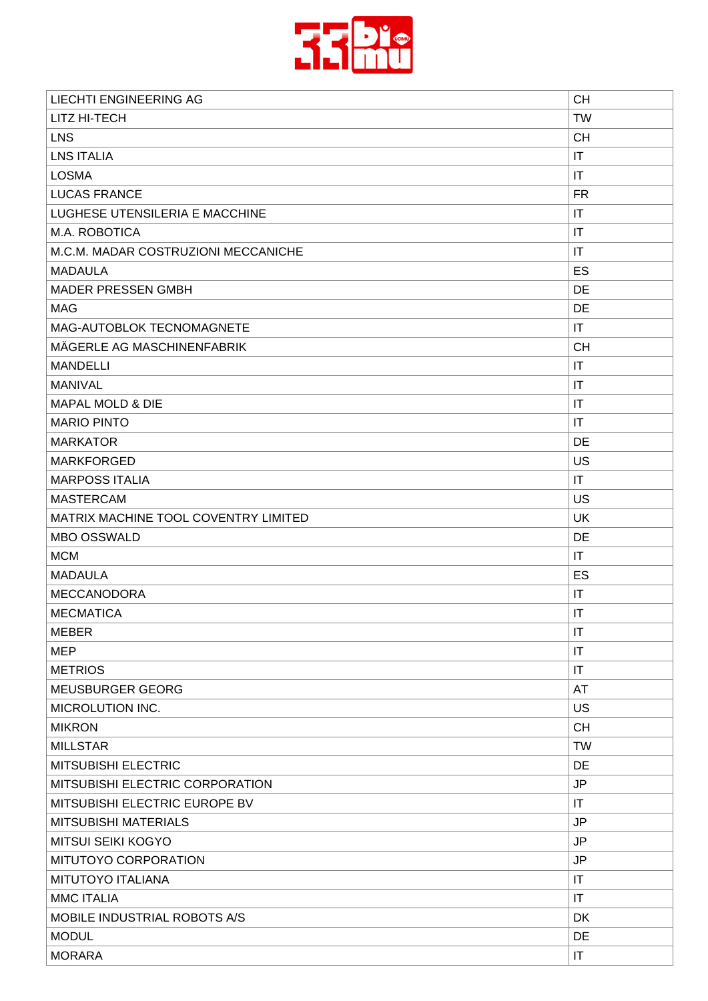

| <b>LIECHTI ENGINEERING AG</b>        | <b>CH</b>              |
|--------------------------------------|------------------------|
| LITZ HI-TECH                         | <b>TW</b>              |
| <b>LNS</b>                           | <b>CH</b>              |
| <b>LNS ITALIA</b>                    | IT                     |
| <b>LOSMA</b>                         | IT                     |
| <b>LUCAS FRANCE</b>                  | <b>FR</b>              |
| LUGHESE UTENSILERIA E MACCHINE       | IT                     |
| M.A. ROBOTICA                        | IT                     |
| M.C.M. MADAR COSTRUZIONI MECCANICHE  | IT                     |
| <b>MADAULA</b>                       | ES                     |
| <b>MADER PRESSEN GMBH</b>            | DE                     |
| <b>MAG</b>                           | DE                     |
| MAG-AUTOBLOK TECNOMAGNETE            | IT                     |
| MÄGERLE AG MASCHINENFABRIK           | <b>CH</b>              |
| <b>MANDELLI</b>                      | IT                     |
| <b>MANIVAL</b>                       | IT                     |
| <b>MAPAL MOLD &amp; DIE</b>          | IT                     |
| <b>MARIO PINTO</b>                   | IT                     |
| <b>MARKATOR</b>                      | DE                     |
| <b>MARKFORGED</b>                    | US                     |
| <b>MARPOSS ITALIA</b>                | $\mathsf{I}\mathsf{T}$ |
| <b>MASTERCAM</b>                     | US                     |
| MATRIX MACHINE TOOL COVENTRY LIMITED | <b>UK</b>              |
| <b>MBO OSSWALD</b>                   | DE                     |
| <b>MCM</b>                           | IT                     |
| <b>MADAULA</b>                       | ES                     |
| <b>MECCANODORA</b>                   | IT                     |
| <b>MECMATICA</b>                     | IT                     |
| <b>MEBER</b>                         | IT                     |
| <b>MEP</b>                           | IT                     |
| <b>METRIOS</b>                       | IT                     |
| MEUSBURGER GEORG                     | AT                     |
| MICROLUTION INC.                     | <b>US</b>              |
| <b>MIKRON</b>                        | <b>CH</b>              |
| <b>MILLSTAR</b>                      | <b>TW</b>              |
| MITSUBISHI ELECTRIC                  | DE                     |
| MITSUBISHI ELECTRIC CORPORATION      | JP                     |
| MITSUBISHI ELECTRIC EUROPE BV        | IT                     |
| <b>MITSUBISHI MATERIALS</b>          | <b>JP</b>              |
| <b>MITSUI SEIKI KOGYO</b>            | JP                     |
| MITUTOYO CORPORATION                 | <b>JP</b>              |
| MITUTOYO ITALIANA                    | IT                     |
| <b>MMC ITALIA</b>                    | IT                     |
| MOBILE INDUSTRIAL ROBOTS A/S         | <b>DK</b>              |
| <b>MODUL</b>                         | DE                     |
| <b>MORARA</b>                        | IT                     |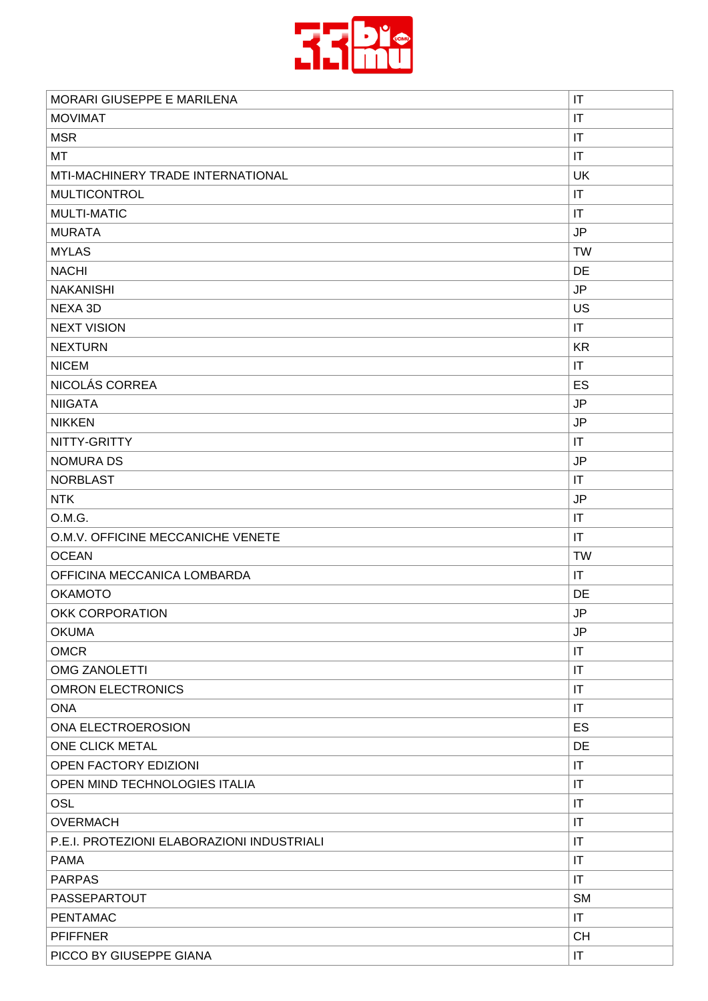

| MORARI GIUSEPPE E MARILENA                 | $\mathsf{I}\mathsf{T}$ |
|--------------------------------------------|------------------------|
| <b>MOVIMAT</b>                             | $\mathsf{I}\mathsf{T}$ |
| <b>MSR</b>                                 | $\mathsf{I}\mathsf{T}$ |
| МT                                         | IT                     |
| MTI-MACHINERY TRADE INTERNATIONAL          | <b>UK</b>              |
| <b>MULTICONTROL</b>                        | $\mathsf{I}\mathsf{T}$ |
| <b>MULTI-MATIC</b>                         | IT                     |
| <b>MURATA</b>                              | <b>JP</b>              |
| <b>MYLAS</b>                               | <b>TW</b>              |
| <b>NACHI</b>                               | DE                     |
| <b>NAKANISHI</b>                           | <b>JP</b>              |
| NEXA 3D                                    | <b>US</b>              |
| <b>NEXT VISION</b>                         | $\mathsf{I}\mathsf{T}$ |
| <b>NEXTURN</b>                             | <b>KR</b>              |
| <b>NICEM</b>                               | $\sf IT$               |
| NICOLÁS CORREA                             | ES                     |
| <b>NIIGATA</b>                             | <b>JP</b>              |
| <b>NIKKEN</b>                              | <b>JP</b>              |
| NITTY-GRITTY                               | IT                     |
| <b>NOMURA DS</b>                           | $\mathsf{JP}$          |
| <b>NORBLAST</b>                            | $\mathsf{I}\mathsf{T}$ |
| <b>NTK</b>                                 | <b>JP</b>              |
| O.M.G.                                     | $\mathsf{I}\mathsf{T}$ |
| O.M.V. OFFICINE MECCANICHE VENETE          | IT                     |
| <b>OCEAN</b>                               | <b>TW</b>              |
| OFFICINA MECCANICA LOMBARDA                | $\mathsf{I}\mathsf{T}$ |
| <b>OKAMOTO</b>                             | DE                     |
| <b>OKK CORPORATION</b>                     | <b>JP</b>              |
| <b>OKUMA</b>                               | JP                     |
| <b>OMCR</b>                                | $\mathsf{I}\mathsf{T}$ |
| <b>OMG ZANOLETTI</b>                       | IT                     |
| <b>OMRON ELECTRONICS</b>                   | IT                     |
| <b>ONA</b>                                 | IT                     |
| ONA ELECTROEROSION                         | ES                     |
| ONE CLICK METAL                            | DE                     |
| <b>OPEN FACTORY EDIZIONI</b>               | $\mathsf{I}\mathsf{T}$ |
| OPEN MIND TECHNOLOGIES ITALIA              | $\mathsf{I}\mathsf{T}$ |
| OSL                                        | IT                     |
| <b>OVERMACH</b>                            | IT                     |
| P.E.I. PROTEZIONI ELABORAZIONI INDUSTRIALI | $\mathsf{I}\mathsf{T}$ |
| <b>PAMA</b>                                | IT                     |
| <b>PARPAS</b>                              | $\mathsf{I}\mathsf{T}$ |
| <b>PASSEPARTOUT</b>                        | <b>SM</b>              |
| <b>PENTAMAC</b>                            | IT                     |
| <b>PFIFFNER</b>                            | <b>CH</b>              |
| PICCO BY GIUSEPPE GIANA                    | IT                     |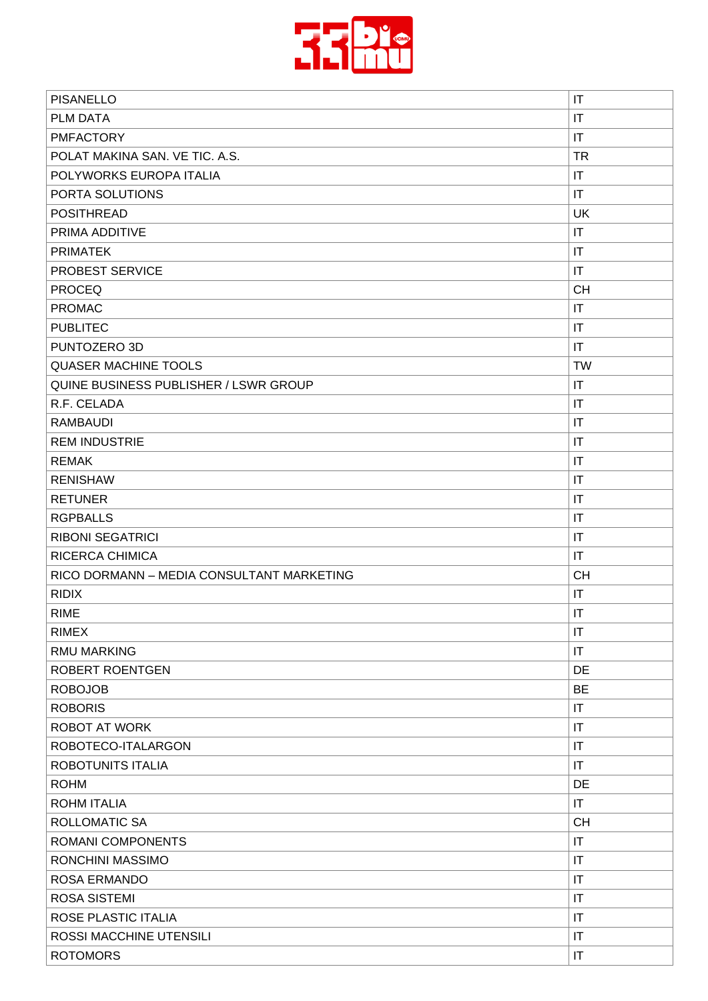

| <b>PISANELLO</b>                          | $\mathsf{I}\mathsf{T}$ |
|-------------------------------------------|------------------------|
| PLM DATA                                  | IT                     |
| <b>PMFACTORY</b>                          | IT                     |
| POLAT MAKINA SAN. VE TIC. A.S.            | <b>TR</b>              |
| POLYWORKS EUROPA ITALIA                   | IT                     |
| PORTA SOLUTIONS                           | IT                     |
| <b>POSITHREAD</b>                         | <b>UK</b>              |
| PRIMA ADDITIVE                            | IT                     |
| <b>PRIMATEK</b>                           | $\mathsf{I}\mathsf{T}$ |
| PROBEST SERVICE                           | $\mathsf{I}\mathsf{T}$ |
| <b>PROCEQ</b>                             | <b>CH</b>              |
| <b>PROMAC</b>                             | IT                     |
| <b>PUBLITEC</b>                           | $\mathsf{I}\mathsf{T}$ |
| PUNTOZERO 3D                              | IT                     |
| <b>QUASER MACHINE TOOLS</b>               | <b>TW</b>              |
| QUINE BUSINESS PUBLISHER / LSWR GROUP     | $\mathsf{I}\mathsf{T}$ |
| R.F. CELADA                               | IT                     |
| <b>RAMBAUDI</b>                           | $\mathsf{I}\mathsf{T}$ |
| <b>REM INDUSTRIE</b>                      | $\mathsf{I}\mathsf{T}$ |
| <b>REMAK</b>                              | $\mathsf{I}\mathsf{T}$ |
| <b>RENISHAW</b>                           | $\mathsf{I}\mathsf{T}$ |
| <b>RETUNER</b>                            | $\mathsf{I}\mathsf{T}$ |
| <b>RGPBALLS</b>                           | IT                     |
| <b>RIBONI SEGATRICI</b>                   | $\mathsf{I}\mathsf{T}$ |
| <b>RICERCA CHIMICA</b>                    | $\mathsf{I}\mathsf{T}$ |
| RICO DORMANN - MEDIA CONSULTANT MARKETING | <b>CH</b>              |
| <b>RIDIX</b>                              | IT                     |
| <b>RIME</b>                               | $\mathsf{I}\mathsf{T}$ |
| <b>RIMEX</b>                              | $\mathsf{I}\mathsf{T}$ |
| <b>RMU MARKING</b>                        | $\mathsf{I}\mathsf{T}$ |
| <b>ROBERT ROENTGEN</b>                    | DE                     |
| <b>ROBOJOB</b>                            | <b>BE</b>              |
| <b>ROBORIS</b>                            | $\mathsf{I}\mathsf{T}$ |
| <b>ROBOT AT WORK</b>                      | IT                     |
| ROBOTECO-ITALARGON                        | $\mathsf{I}\mathsf{T}$ |
| ROBOTUNITS ITALIA                         | IT                     |
| <b>ROHM</b>                               | DE                     |
| <b>ROHM ITALIA</b>                        | $\mathsf{I}\mathsf{T}$ |
| ROLLOMATIC SA                             | <b>CH</b>              |
| ROMANI COMPONENTS                         | IT                     |
| RONCHINI MASSIMO                          | $\mathsf{I}\mathsf{T}$ |
| <b>ROSA ERMANDO</b>                       | $\mathsf{I}\mathsf{T}$ |
| <b>ROSA SISTEMI</b>                       | $\mathsf{I}\mathsf{T}$ |
| ROSE PLASTIC ITALIA                       | $\mathsf{I}\mathsf{T}$ |
|                                           |                        |
| ROSSI MACCHINE UTENSILI                   | IT                     |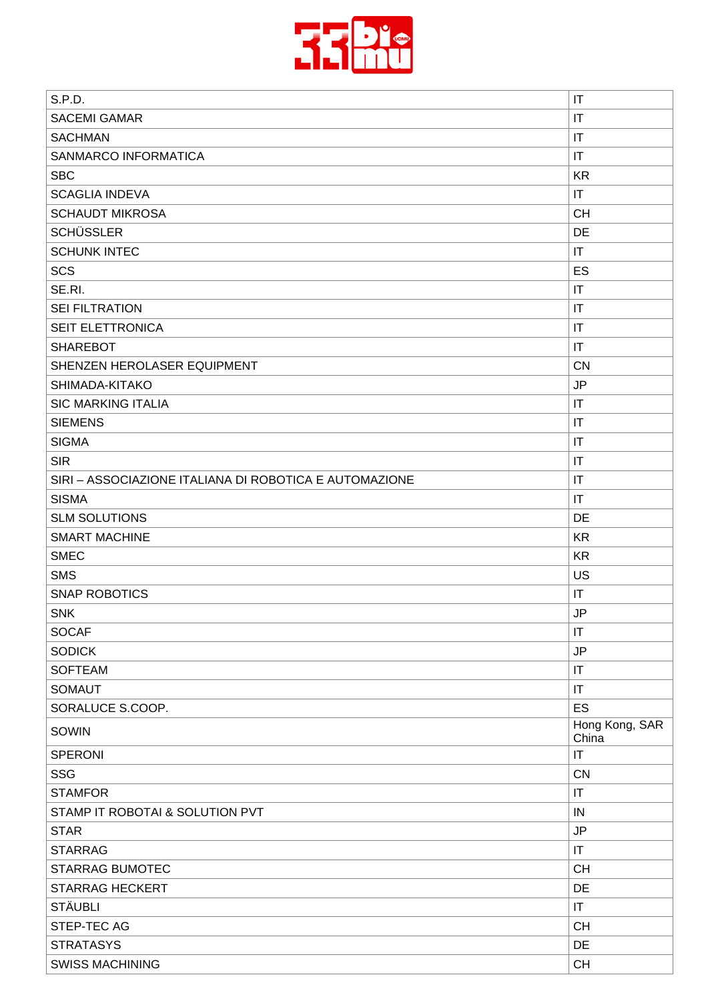

| S.P.D.                                                 | IT                      |
|--------------------------------------------------------|-------------------------|
| <b>SACEMI GAMAR</b>                                    | $\mathsf{I}\mathsf{T}$  |
| <b>SACHMAN</b>                                         | $\mathsf{I}\mathsf{T}$  |
| SANMARCO INFORMATICA                                   | $\mathsf{I}\mathsf{T}$  |
| <b>SBC</b>                                             | <b>KR</b>               |
| <b>SCAGLIA INDEVA</b>                                  | $\mathsf{I}\mathsf{T}$  |
| <b>SCHAUDT MIKROSA</b>                                 | <b>CH</b>               |
| <b>SCHÜSSLER</b>                                       | DE                      |
| <b>SCHUNK INTEC</b>                                    | IT                      |
| <b>SCS</b>                                             | ES                      |
| SE.RI.                                                 | $\mathsf{I}\mathsf{T}$  |
| <b>SEI FILTRATION</b>                                  | $\mathsf{I}\mathsf{T}$  |
| SEIT ELETTRONICA                                       | IT                      |
| <b>SHAREBOT</b>                                        | $\mathsf{I}\mathsf{T}$  |
| SHENZEN HEROLASER EQUIPMENT                            | <b>CN</b>               |
| SHIMADA-KITAKO                                         | <b>JP</b>               |
| <b>SIC MARKING ITALIA</b>                              | $\mathsf{I}\mathsf{T}$  |
| <b>SIEMENS</b>                                         | $\mathsf{I}\mathsf{T}$  |
| <b>SIGMA</b>                                           | $\mathsf{I}\mathsf{T}$  |
| <b>SIR</b>                                             | $\mathsf{I}\mathsf{T}$  |
| SIRI - ASSOCIAZIONE ITALIANA DI ROBOTICA E AUTOMAZIONE | $\mathsf{I}\mathsf{T}$  |
| <b>SISMA</b>                                           | IT                      |
| <b>SLM SOLUTIONS</b>                                   | DE                      |
| <b>SMART MACHINE</b>                                   | <b>KR</b>               |
| <b>SMEC</b>                                            | <b>KR</b>               |
| <b>SMS</b>                                             | US                      |
| <b>SNAP ROBOTICS</b>                                   | $\mathsf{I}\mathsf{T}$  |
| <b>SNK</b>                                             | <b>JP</b>               |
| <b>SOCAF</b>                                           | $\mathsf{I}\mathsf{T}$  |
| <b>SODICK</b>                                          | <b>JP</b>               |
| <b>SOFTEAM</b>                                         | $\mathsf{I}\mathsf{T}$  |
| <b>SOMAUT</b>                                          | $\mathsf{I}\mathsf{T}$  |
| SORALUCE S.COOP.                                       | ES                      |
| SOWIN                                                  | Hong Kong, SAR<br>China |
| <b>SPERONI</b>                                         | $\mathsf{I}\mathsf{T}$  |
| <b>SSG</b>                                             | CN                      |
| <b>STAMFOR</b>                                         | $\mathsf{I}\mathsf{T}$  |
| STAMP IT ROBOTAI & SOLUTION PVT                        | IN                      |
| <b>STAR</b>                                            | <b>JP</b>               |
| <b>STARRAG</b>                                         | $\mathsf{I}\mathsf{T}$  |
| <b>STARRAG BUMOTEC</b>                                 | <b>CH</b>               |
| <b>STARRAG HECKERT</b>                                 | DE                      |
| <b>STÄUBLI</b>                                         | $\mathsf{I}\mathsf{T}$  |
| STEP-TEC AG                                            | <b>CH</b>               |
| <b>STRATASYS</b>                                       | DE                      |
| <b>SWISS MACHINING</b>                                 | <b>CH</b>               |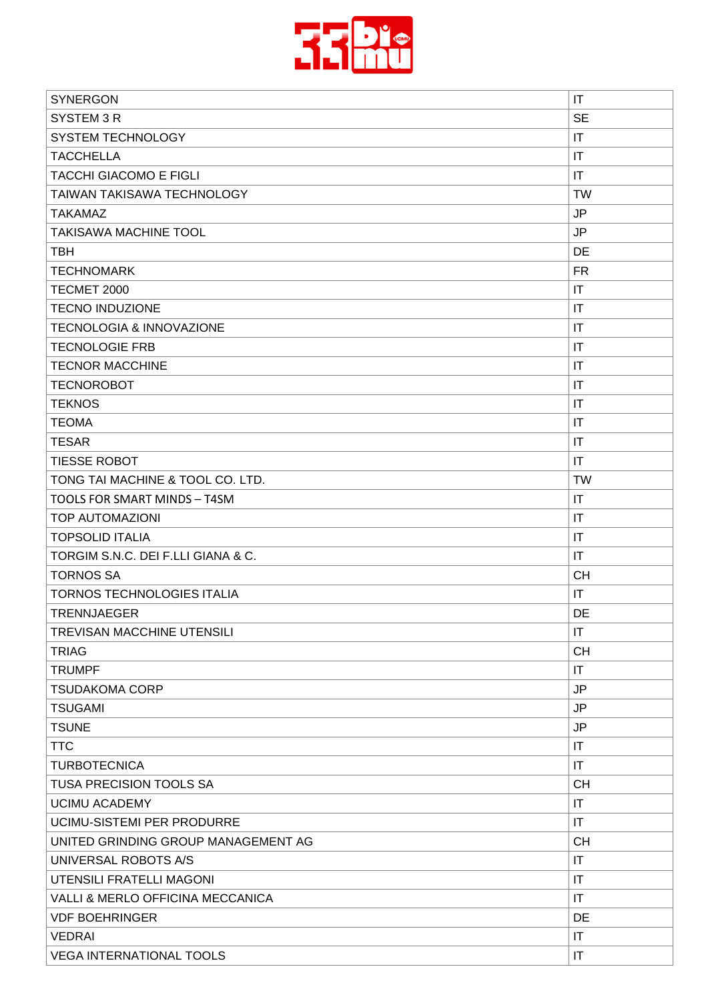

| <b>SYNERGON</b>                     | IT                     |
|-------------------------------------|------------------------|
| SYSTEM 3R                           | <b>SE</b>              |
| <b>SYSTEM TECHNOLOGY</b>            | IT                     |
| <b>TACCHELLA</b>                    | IT                     |
| <b>TACCHI GIACOMO E FIGLI</b>       | IT                     |
| <b>TAIWAN TAKISAWA TECHNOLOGY</b>   | <b>TW</b>              |
| <b>TAKAMAZ</b>                      | JP                     |
| <b>TAKISAWA MACHINE TOOL</b>        | <b>JP</b>              |
| <b>TBH</b>                          | DE                     |
| <b>TECHNOMARK</b>                   | FR.                    |
| TECMET 2000                         | $\mathsf{I}\mathsf{T}$ |
| <b>TECNO INDUZIONE</b>              | IT                     |
| <b>TECNOLOGIA &amp; INNOVAZIONE</b> | $\mathsf{I}\mathsf{T}$ |
| <b>TECNOLOGIE FRB</b>               | IT                     |
| <b>TECNOR MACCHINE</b>              | IT                     |
| <b>TECNOROBOT</b>                   | $\mathsf{I}\mathsf{T}$ |
| <b>TEKNOS</b>                       | IT                     |
| <b>TEOMA</b>                        | IT                     |
| <b>TESAR</b>                        | IT                     |
| <b>TIESSE ROBOT</b>                 | IT                     |
| TONG TAI MACHINE & TOOL CO. LTD.    | <b>TW</b>              |
| TOOLS FOR SMART MINDS - T4SM        | IT                     |
| <b>TOP AUTOMAZIONI</b>              | IT                     |
| <b>TOPSOLID ITALIA</b>              | IT                     |
| TORGIM S.N.C. DEI F.LLI GIANA & C.  | IT                     |
| <b>TORNOS SA</b>                    | <b>CH</b>              |
| TORNOS TECHNOLOGIES ITALIA          | IT                     |
| <b>TRENNJAEGER</b>                  | DE                     |
| TREVISAN MACCHINE UTENSILI          | IT                     |
| <b>TRIAG</b>                        | <b>CH</b>              |
| <b>TRUMPF</b>                       | IT                     |
| <b>TSUDAKOMA CORP</b>               | <b>JP</b>              |
| <b>TSUGAMI</b>                      | JP                     |
| <b>TSUNE</b>                        | JP                     |
| <b>TTC</b>                          | IT                     |
| <b>TURBOTECNICA</b>                 | IT                     |
| <b>TUSA PRECISION TOOLS SA</b>      | <b>CH</b>              |
| <b>UCIMU ACADEMY</b>                | IT                     |
| UCIMU-SISTEMI PER PRODURRE          | IT                     |
| UNITED GRINDING GROUP MANAGEMENT AG | <b>CH</b>              |
| UNIVERSAL ROBOTS A/S                | $\mathsf{I}\mathsf{T}$ |
| UTENSILI FRATELLI MAGONI            | IT                     |
| VALLI & MERLO OFFICINA MECCANICA    | IT                     |
| <b>VDF BOEHRINGER</b>               | DE                     |
| <b>VEDRAI</b>                       | IT                     |
| <b>VEGA INTERNATIONAL TOOLS</b>     | IT                     |